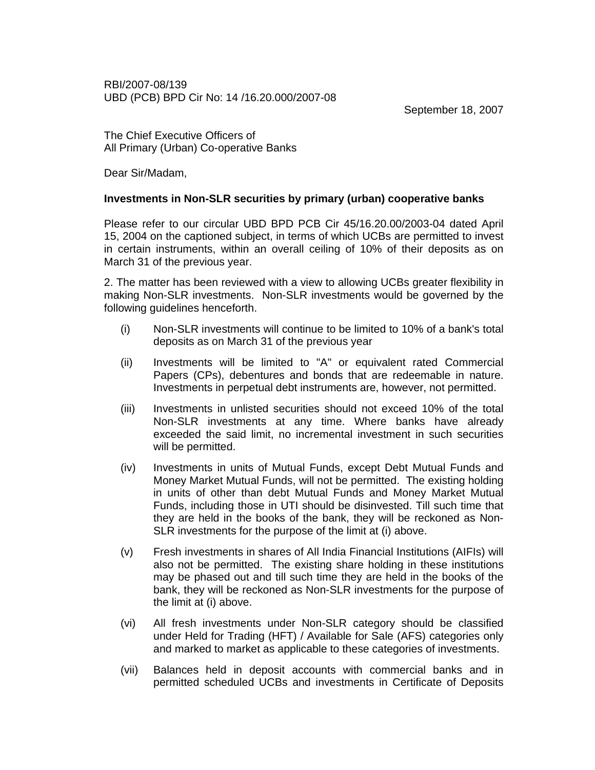RBI/2007-08/139 UBD (PCB) BPD Cir No: 14 /16.20.000/2007-08

September 18, 2007

The Chief Executive Officers of All Primary (Urban) Co-operative Banks

Dear Sir/Madam,

## **Investments in Non-SLR securities by primary (urban) cooperative banks**

Please refer to our circular UBD BPD PCB Cir 45/16.20.00/2003-04 dated April 15, 2004 on the captioned subject, in terms of which UCBs are permitted to invest in certain instruments, within an overall ceiling of 10% of their deposits as on March 31 of the previous year.

2. The matter has been reviewed with a view to allowing UCBs greater flexibility in making Non-SLR investments. Non-SLR investments would be governed by the following guidelines henceforth.

- (i) Non-SLR investments will continue to be limited to 10% of a bank's total deposits as on March 31 of the previous year
- (ii) Investments will be limited to "A" or equivalent rated Commercial Papers (CPs), debentures and bonds that are redeemable in nature. Investments in perpetual debt instruments are, however, not permitted.
- (iii) Investments in unlisted securities should not exceed 10% of the total Non-SLR investments at any time. Where banks have already exceeded the said limit, no incremental investment in such securities will be permitted.
- (iv) Investments in units of Mutual Funds, except Debt Mutual Funds and Money Market Mutual Funds, will not be permitted. The existing holding in units of other than debt Mutual Funds and Money Market Mutual Funds, including those in UTI should be disinvested. Till such time that they are held in the books of the bank, they will be reckoned as Non-SLR investments for the purpose of the limit at (i) above.
- (v) Fresh investments in shares of All India Financial Institutions (AIFIs) will also not be permitted. The existing share holding in these institutions may be phased out and till such time they are held in the books of the bank, they will be reckoned as Non-SLR investments for the purpose of the limit at (i) above.
- (vi) All fresh investments under Non-SLR category should be classified under Held for Trading (HFT) / Available for Sale (AFS) categories only and marked to market as applicable to these categories of investments.
- (vii) Balances held in deposit accounts with commercial banks and in permitted scheduled UCBs and investments in Certificate of Deposits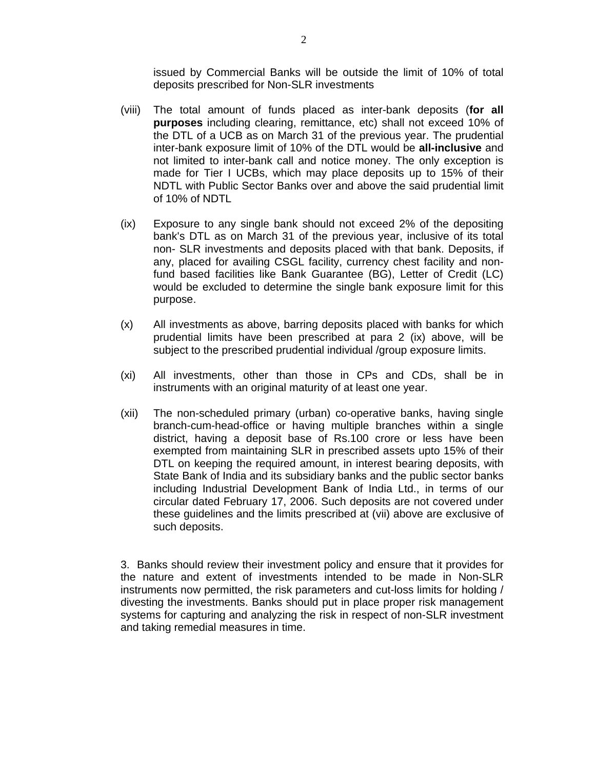issued by Commercial Banks will be outside the limit of 10% of total deposits prescribed for Non-SLR investments

- (viii) The total amount of funds placed as inter-bank deposits (**for all purposes** including clearing, remittance, etc) shall not exceed 10% of the DTL of a UCB as on March 31 of the previous year. The prudential inter-bank exposure limit of 10% of the DTL would be **all-inclusive** and not limited to inter-bank call and notice money. The only exception is made for Tier I UCBs, which may place deposits up to 15% of their NDTL with Public Sector Banks over and above the said prudential limit of 10% of NDTL
- (ix) Exposure to any single bank should not exceed 2% of the depositing bank's DTL as on March 31 of the previous year, inclusive of its total non- SLR investments and deposits placed with that bank. Deposits, if any, placed for availing CSGL facility, currency chest facility and nonfund based facilities like Bank Guarantee (BG), Letter of Credit (LC) would be excluded to determine the single bank exposure limit for this purpose.
- (x) All investments as above, barring deposits placed with banks for which prudential limits have been prescribed at para 2 (ix) above, will be subject to the prescribed prudential individual /group exposure limits.
- (xi) All investments, other than those in CPs and CDs, shall be in instruments with an original maturity of at least one year.
- (xii) The non-scheduled primary (urban) co-operative banks, having single branch-cum-head-office or having multiple branches within a single district, having a deposit base of Rs.100 crore or less have been exempted from maintaining SLR in prescribed assets upto 15% of their DTL on keeping the required amount, in interest bearing deposits, with State Bank of India and its subsidiary banks and the public sector banks including Industrial Development Bank of India Ltd., in terms of our circular dated February 17, 2006. Such deposits are not covered under these guidelines and the limits prescribed at (vii) above are exclusive of such deposits.

3. Banks should review their investment policy and ensure that it provides for the nature and extent of investments intended to be made in Non-SLR instruments now permitted, the risk parameters and cut-loss limits for holding / divesting the investments. Banks should put in place proper risk management systems for capturing and analyzing the risk in respect of non-SLR investment and taking remedial measures in time.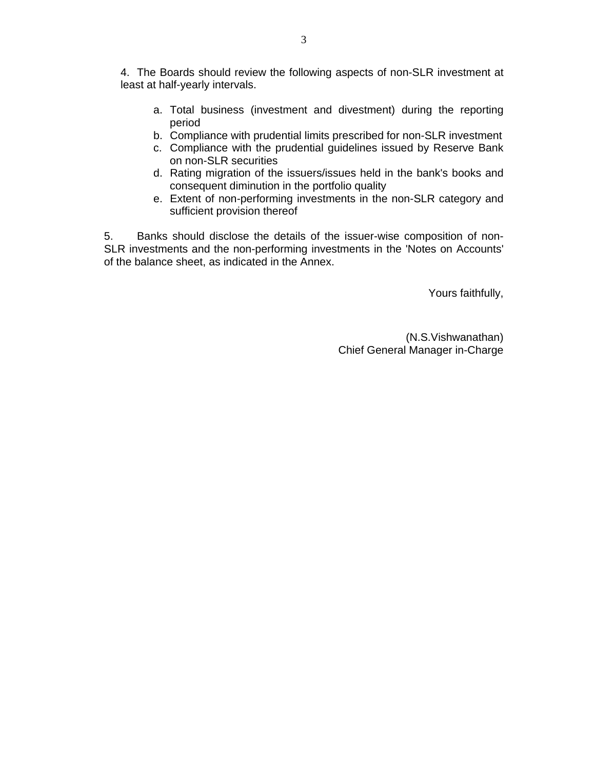4. The Boards should review the following aspects of non-SLR investment at least at half-yearly intervals.

- a. Total business (investment and divestment) during the reporting period
- b. Compliance with prudential limits prescribed for non-SLR investment
- c. Compliance with the prudential guidelines issued by Reserve Bank on non-SLR securities
- d. Rating migration of the issuers/issues held in the bank's books and consequent diminution in the portfolio quality
- e. Extent of non-performing investments in the non-SLR category and sufficient provision thereof

5. Banks should disclose the details of the issuer-wise composition of non-SLR investments and the non-performing investments in the 'Notes on Accounts' of the balance sheet, as indicated in the Annex.

Yours faithfully,

(N.S.Vishwanathan) Chief General Manager in-Charge